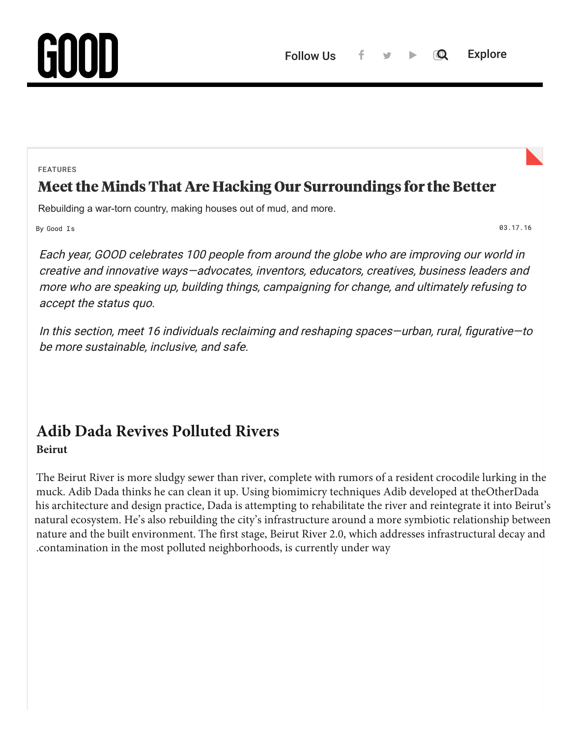FEATURES

# [Meet the Minds That Are Hacking Our Surroundings for the Better](https://www.good.is/features/issue-36-spaces)

Rebuilding a war-torn country, making houses out of mud, and more.

By [Good Is](https://www.good.is/contributors/runnergood) 03.17.16

Each year, GOOD celebrates 100 people from around the globe who are improving our world in creative and innovative ways—advocates, inventors, educators, creatives, business leaders and more who are speaking up, building things, campaigning for change, and ultimately refusing to accept the status quo.

In this section, meet 16 individuals reclaiming and reshaping spaces—urban, rural, figurative—to be more sustainable, inclusive, and safe.

# **Adib Dada Revives Polluted Rivers**

#### **Beirut**

The Beirut River is more sludgy sewer than river, complete with rumors of a resident crocodile lurking in the muck. Adib Dada thinks he can clean it up. Using biomimicry techniques Adib developed at theOtherDada his architecture and design practice, Dada is attempting to rehabilitate the river and reintegrate it into Beirut's [natural ecosystem. He's also rebuilding the city's infrastructure around a more symbiotic relationship betwee](https://www.good.is/features/issue-36-spaces)n nature and the built environment. The first stage, Beirut River 2.0, which addresses infrastructural decay and .contamination in the most polluted neighborhoods, is currently under way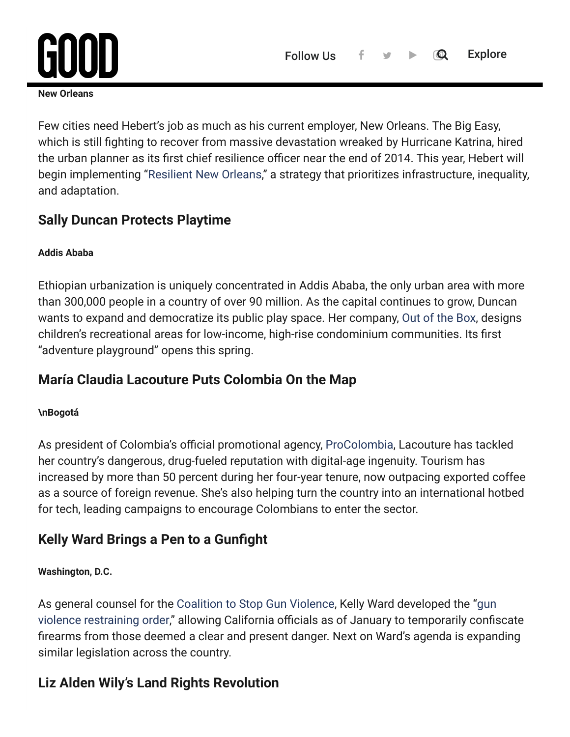# **[Jeff Hebert Plots New Orleans' Comeback](https://www.good.is/)**

**New Orleans**

Few cities need Hebert's job as much as his current employer, New Orleans. The Big Easy, which is still fighting to recover from massive devastation wreaked by Hurricane Katrina, hired the urban planner as its first chief resilience officer near the end of 2014. This year, Hebert will begin implementing ["Resilient New Orleans,](http://resilientnola.org/)" a strategy that prioritizes infrastructure, inequality, and adaptation.

### **Sally Duncan Protects Playtime**

#### **Addis Ababa**

Ethiopian urbanization is uniquely concentrated in Addis Ababa, the only urban area with more than 300,000 people in a country of over 90 million. As the capital continues to grow, Duncan wants to expand and democratize its public play space. Her company, [Out of the Box,](http://www.outoftheboxpartnerships.com/) designs children's recreational areas for low-income, high-rise condominium communities. Its first "adventure playground" opens this spring.

# **María Claudia Lacouture Puts Colombia On the Map**

#### **\nBogotá**

As president of Colombia's official promotional agency, [ProColombia,](http://www.procolombia.co/en) Lacouture has tackled her country's dangerous, drug-fueled reputation with digital-age ingenuity. Tourism has increased by more than 50 percent during her four-year tenure, now outpacing exported coffee as a source of foreign revenue. She's also helping turn the country into an international hotbed for tech, leading campaigns to encourage Colombians to enter the sector.

# **Kelly Ward Brings a Pen to a Gunfight**

#### **Washington, D.C.**

As general counsel for the [Coalition to Stop Gun Violence,](http://csgv.org/) Kelly Ward developed the "gun violence restraining order," allowing California officials as of January to temporarily confiscate firearms from those deemed a clear and present danger. Next on Ward's agenda is expanding similar legislation across the country.

# **Liz Alden Wily's Land Rights Revolution**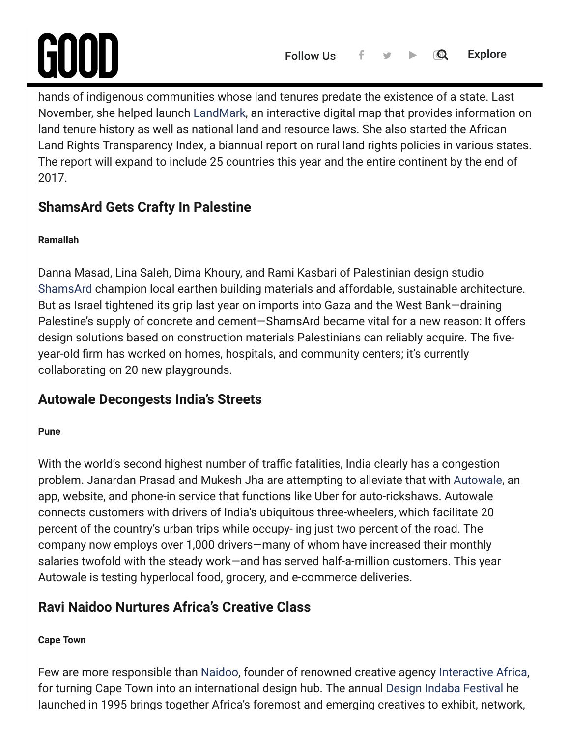# **Leiden**  $\overline{\mathbf{u}}$  computed land rights. Now she's ghting to put  $\mathbf{v}$  ghting to put  $\mathbf{v}$

hands of indigenous communities whose land tenures predate the existence of a state. Last November, she helped launch [LandMark](http://www.landmarkmap.org/), an interactive digital map that provides information on land tenure history as well as national land and resource laws. She also started the African Land Rights Transparency Index, a biannual report on rural land rights policies in various states. The report will expand to include 25 countries this year and the entire continent by the end of 2017.

# **ShamsArd Gets Crafty In Palestine**

#### **Ramallah**

Danna Masad, Lina Saleh, Dima Khoury, and Rami Kasbari of Palestinian design studio [ShamsArd](https://shamsard.wordpress.com/) champion local earthen building materials and affordable, sustainable architecture. But as Israel tightened its grip last year on imports into Gaza and the West Bank—draining Palestine's supply of concrete and cement—ShamsArd became vital for a new reason: It offers design solutions based on construction materials Palestinians can reliably acquire. The fiveyear-old firm has worked on homes, hospitals, and community centers; it's currently collaborating on 20 new playgrounds.

# **Autowale Decongests India's Streets**

#### **Pune**

With the world's second highest number of traffic fatalities, India clearly has a congestion problem. Janardan Prasad and Mukesh Jha are attempting to alleviate that with [Autowale](http://www.autowale.in/), an app, website, and phone-in service that functions like Uber for auto-rickshaws. Autowale connects customers with drivers of India's ubiquitous three-wheelers, which facilitate 20 percent of the country's urban trips while occupy- ing just two percent of the road. The company now employs over 1,000 drivers—many of whom have increased their monthly salaries twofold with the steady work—and has served half-a-million customers. This year Autowale is testing hyperlocal food, grocery, and e-commerce deliveries.

# **Ravi Naidoo Nurtures Africa's Creative Class**

#### **Cape Town**

Few are more responsible than [Naidoo](https://www.good.is/features/issue-35-ravi-naidoo), founder of renowned creative agency [Interactive Africa](http://www.interactiveafrica.com/), for turning Cape Town into an international design hub. The annual [Design Indaba Festival](http://www.designindaba.com/) he launched in 1995 brings together Africa's foremost and emerging creatives to exhibit, network,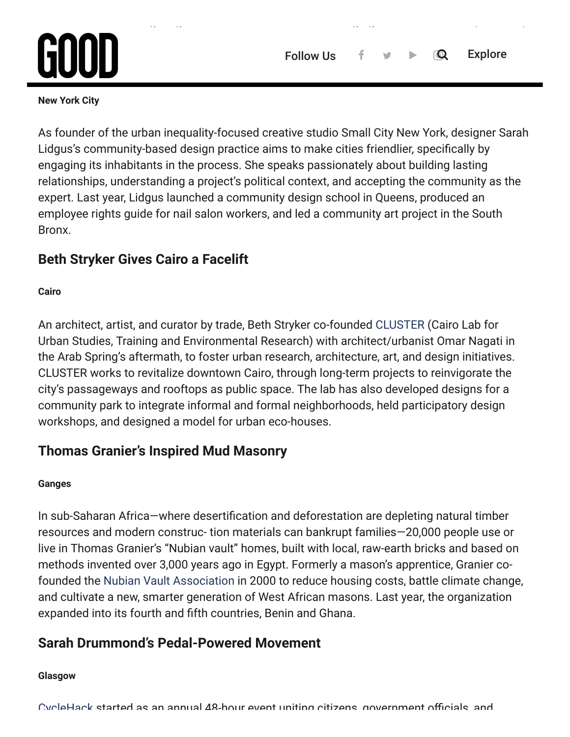# anan reima **[Sarah Lidgus Crowns Community King](https://www.good.is/)**

#### **New York City**

As founder of the urban inequality-focused creative studio Small City New York, designer Sarah Lidgus's community-based design practice aims to make cities friendlier, specifically by engaging its inhabitants in the process. She speaks passionately about building lasting relationships, understanding a project's political context, and accepting the community as the expert. Last year, Lidgus launched a community design school in Queens, produced an employee rights guide for nail salon workers, and led a community art project in the South Bronx.

### **Beth Stryker Gives Cairo a Facelift**

#### **Cairo**

An architect, artist, and curator by trade, Beth Stryker co-founded [CLUSTER](http://clustercairo.org/) (Cairo Lab for Urban Studies, Training and Environmental Research) with architect/urbanist Omar Nagati in the Arab Spring's aftermath, to foster urban research, architecture, art, and design initiatives. CLUSTER works to revitalize downtown Cairo, through long-term projects to reinvigorate the city's passageways and rooftops as public space. The lab has also developed designs for a community park to integrate informal and formal neighborhoods, held participatory design workshops, and designed a model for urban eco-houses.

### **Thomas Granier's Inspired Mud Masonry**

#### **Ganges**

In sub-Saharan Africa—where desertification and deforestation are depleting natural timber resources and modern construc- tion materials can bankrupt families—20,000 people use or live in Thomas Granier's "Nubian vault" homes, built with local, raw-earth bricks and based on methods invented over 3,000 years ago in Egypt. Formerly a mason's apprentice, Granier cofounded the [Nubian Vault Association](http://www.lavoutenubienne.org/en) in 2000 to reduce housing costs, battle climate change, and cultivate a new, smarter generation of West African masons. Last year, the organization expanded into its fourth and fifth countries, Benin and Ghana.

# **Sarah Drummond's Pedal-Powered Movement**

#### **Glasgow**

[CycleHack](http://www.cyclehack.com/) started as an annual 48-hour event uniting citizens government officials and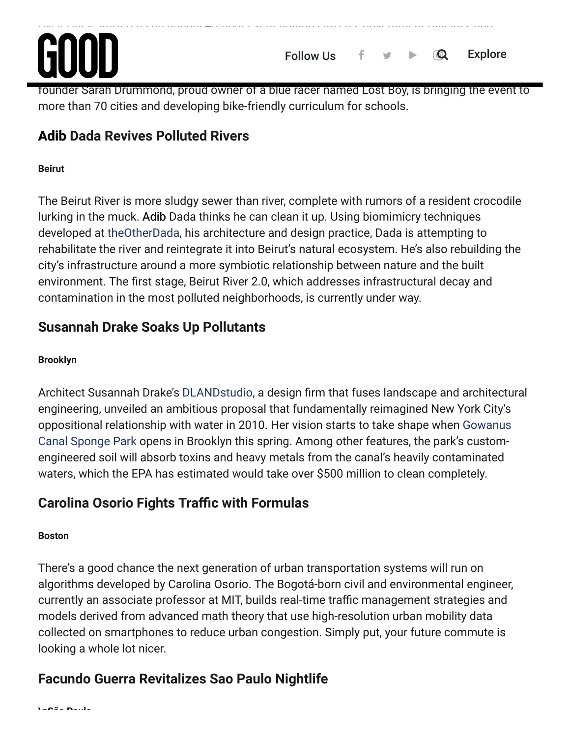# cycling agencies around the world to prototype design solutions for cycling solutions for cycling solutions for a penny and rubberband to temp rarily makeshift a skirt into bike-friendly pants. This year,

founder Sarah Drummond, proud owner of a blue racer named Lost Boy, is bringing the event to more than 70 cities and developing bike-friendly curriculum for schools.

# **Adib Dada Revives Polluted Rivers**

#### **Beirut**

The Beirut River is more sludgy sewer than river, complete with rumors of a resident crocodile lurking in the muck. Adib Dada thinks he can clean it up. Using biomimicry techniques developed at [theOtherDada](http://theotherdada.com/#!home), his architecture and design practice, Dada is attempting to rehabilitate the river and reintegrate it into Beirut's natural ecosystem. He's also rebuilding the city's infrastructure around a more symbiotic relationship between nature and the built environment. The first stage, Beirut River 2.0, which addresses infrastructural decay and contamination in the most polluted neighborhoods, is currently under way.

# **Susannah Drake Soaks Up Pollutants**

#### **Brooklyn**

Architect Susannah Drake's [DLANDstudio,](http://www.dlandstudio.com/) a design firm that fuses landscape and architectural engineering, unveiled an ambitious proposal that fundamentally reimagined New York City's [oppositional relationship with water in 2010. Her vision starts to take shape when Gowanus](http://www.dlandstudio.com/projects_gowanus.html) Canal Sponge Park opens in Brooklyn this spring. Among other features, the park's customengineered soil will absorb toxins and heavy metals from the canal's heavily contaminated waters, which the EPA has estimated would take over \$500 million to clean completely.

# **Carolina Osorio Fights Trac with Formulas**

#### **Boston**

There's a good chance the next generation of urban transportation systems will run on algorithms developed by Carolina Osorio. The Bogotá-born civil and environmental engineer, currently an associate professor at MIT, builds real-time traffic management strategies and models derived from advanced math theory that use high-resolution urban mobility data collected on smartphones to reduce urban congestion. Simply put, your future commute is looking a whole lot nicer.

# **Facundo Guerra Revitalizes Sao Paulo Nightlife**